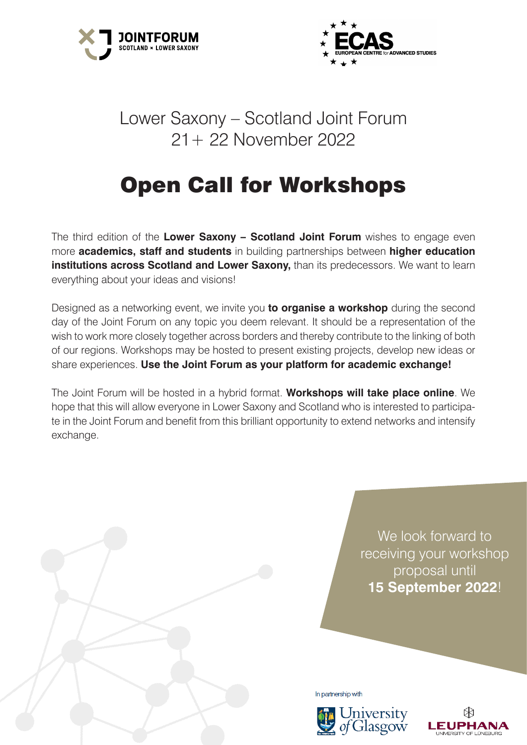



# Lower Saxony – Scotland Joint Forum 21+ 22 November 2022

# Open Call for Workshops

The third edition of the **Lower Saxony – Scotland Joint Forum** wishes to engage even more **academics, staff and students** in building partnerships between **higher education institutions across Scotland and Lower Saxony, than its predecessors. We want to learn** everything about your ideas and visions!

Designed as a networking event, we invite you **to organise a workshop** during the second day of the Joint Forum on any topic you deem relevant. It should be a representation of the wish to work more closely together across borders and thereby contribute to the linking of both of our regions. Workshops may be hosted to present existing projects, develop new ideas or share experiences. **Use the Joint Forum as your platform for academic exchange!** 

The Joint Forum will be hosted in a hybrid format. **Workshops will take place online**. We hope that this will allow everyone in Lower Saxony and Scotland who is interested to participate in the Joint Forum and benefit from this brilliant opportunity to extend networks and intensify exchange.

> We look forward to receiving your workshop proposal until **15 September 2022**!

In partnership with



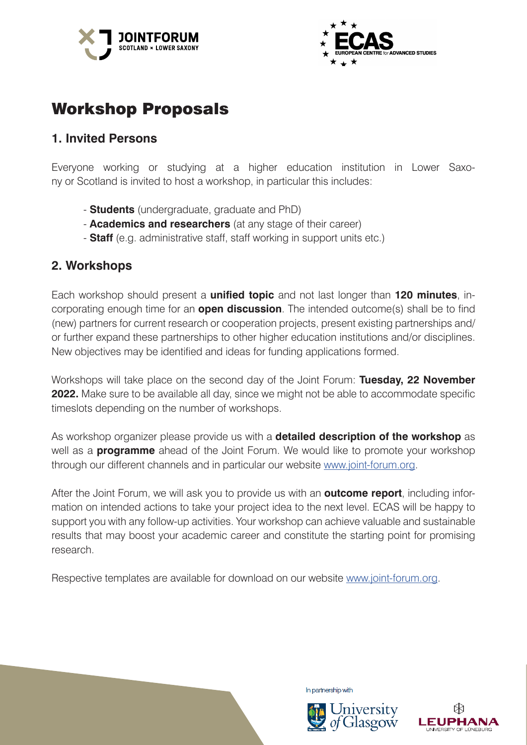



# Workshop Proposals

#### **1. Invited Persons**

Everyone working or studying at a higher education institution in Lower Saxony or Scotland is invited to host a workshop, in particular this includes:

- **Students** (undergraduate, graduate and PhD)
- **Academics and researchers** (at any stage of their career)
- **Staff** (e.g. administrative staff, staff working in support units etc.)

#### **2. Workshops**

Each workshop should present a **unified topic** and not last longer than **120 minutes**, incorporating enough time for an **open discussion**. The intended outcome(s) shall be to find (new) partners for current research or cooperation projects, present existing partnerships and/ or further expand these partnerships to other higher education institutions and/or disciplines. New objectives may be identified and ideas for funding applications formed.

Workshops will take place on the second day of the Joint Forum: **Tuesday, 22 November 2022.** Make sure to be available all day, since we might not be able to accommodate specific timeslots depending on the number of workshops.

As workshop organizer please provide us with a **detailed description of the workshop** as well as a **programme** ahead of the Joint Forum. We would like to promote your workshop through our different channels and in particular our website www.joint-forum.org.

After the Joint Forum, we will ask you to provide us with an **outcome report**, including information on intended actions to take your project idea to the next level. ECAS will be happy to support you with any follow-up activities. Your workshop can achieve valuable and sustainable results that may boost your academic career and constitute the starting point for promising research.

Respective templates are available for download on our website www.joint-forum.org.



In partnership with



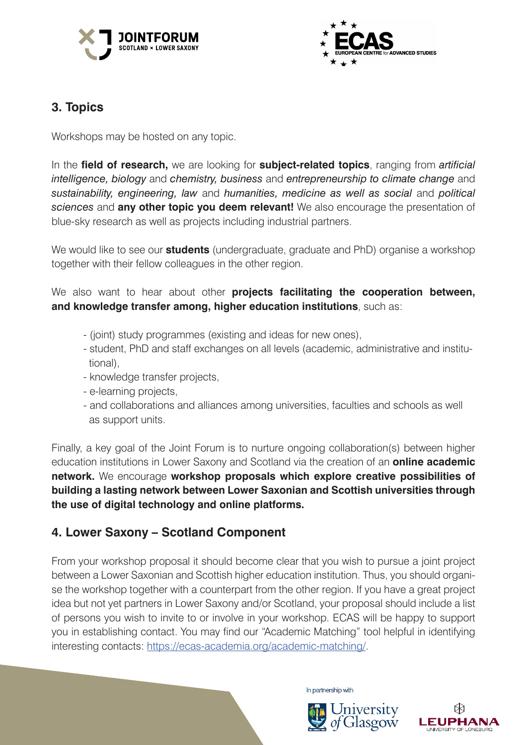



## **3. Topics**

Workshops may be hosted on any topic.

In the **field of research,** we are looking for **subject-related topics**, ranging from *artificial intelligence, biology* and *chemistry, business* and *entrepreneurship to climate change* and *sustainability, engineering, law* and *humanities, medicine as well as social* and *political sciences* and **any other topic you deem relevant!** We also encourage the presentation of blue-sky research as well as projects including industrial partners.

We would like to see our **students** (undergraduate, graduate and PhD) organise a workshop together with their fellow colleagues in the other region.

We also want to hear about other **projects facilitating the cooperation between, and knowledge transfer among, higher education institutions**, such as:

- (joint) study programmes (existing and ideas for new ones),
- student, PhD and staff exchanges on all levels (academic, administrative and institu tional),
- knowledge transfer projects,
- e-learning projects,
- and collaborations and alliances among universities, faculties and schools as well as support units.

Finally, a key goal of the Joint Forum is to nurture ongoing collaboration(s) between higher education institutions in Lower Saxony and Scotland via the creation of an **online academic network.** We encourage **workshop proposals which explore creative possibilities of building a lasting network between Lower Saxonian and Scottish universities through the use of digital technology and online platforms.**

## **4. Lower Saxony – Scotland Component**

From your workshop proposal it should become clear that you wish to pursue a joint project between a Lower Saxonian and Scottish higher education institution. Thus, you should organise the workshop together with a counterpart from the other region. If you have a great project idea but not yet partners in Lower Saxony and/or Scotland, your proposal should include a list of persons you wish to invite to or involve in your workshop. ECAS will be happy to support you in establishing contact. You may find our "Academic Matching" tool helpful in identifying interesting contacts: https://ecas-academia.org/academic-matching/.